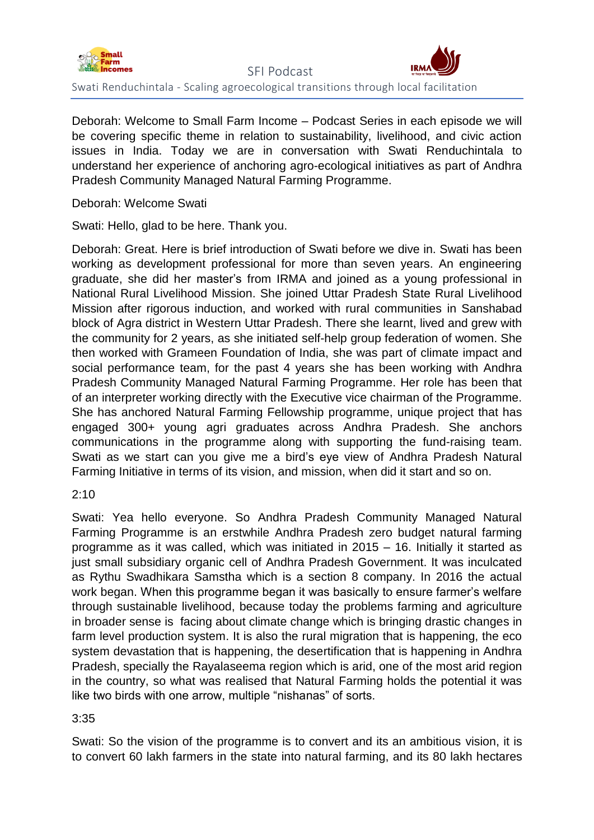

Deborah: Welcome to Small Farm Income – Podcast Series in each episode we will be covering specific theme in relation to sustainability, livelihood, and civic action issues in India. Today we are in conversation with Swati Renduchintala to understand her experience of anchoring agro-ecological initiatives as part of Andhra Pradesh Community Managed Natural Farming Programme.

Deborah: Welcome Swati

Swati: Hello, glad to be here. Thank you.

Deborah: Great. Here is brief introduction of Swati before we dive in. Swati has been working as development professional for more than seven years. An engineering graduate, she did her master's from IRMA and joined as a young professional in National Rural Livelihood Mission. She joined Uttar Pradesh State Rural Livelihood Mission after rigorous induction, and worked with rural communities in Sanshabad block of Agra district in Western Uttar Pradesh. There she learnt, lived and grew with the community for 2 years, as she initiated self-help group federation of women. She then worked with Grameen Foundation of India, she was part of climate impact and social performance team, for the past 4 years she has been working with Andhra Pradesh Community Managed Natural Farming Programme. Her role has been that of an interpreter working directly with the Executive vice chairman of the Programme. She has anchored Natural Farming Fellowship programme, unique project that has engaged 300+ young agri graduates across Andhra Pradesh. She anchors communications in the programme along with supporting the fund-raising team. Swati as we start can you give me a bird's eye view of Andhra Pradesh Natural Farming Initiative in terms of its vision, and mission, when did it start and so on.

2:10

Swati: Yea hello everyone. So Andhra Pradesh Community Managed Natural Farming Programme is an erstwhile Andhra Pradesh zero budget natural farming programme as it was called, which was initiated in 2015 – 16. Initially it started as just small subsidiary organic cell of Andhra Pradesh Government. It was inculcated as Rythu Swadhikara Samstha which is a section 8 company. In 2016 the actual work began. When this programme began it was basically to ensure farmer's welfare through sustainable livelihood, because today the problems farming and agriculture in broader sense is facing about climate change which is bringing drastic changes in farm level production system. It is also the rural migration that is happening, the eco system devastation that is happening, the desertification that is happening in Andhra Pradesh, specially the Rayalaseema region which is arid, one of the most arid region in the country, so what was realised that Natural Farming holds the potential it was like two birds with one arrow, multiple "nishanas" of sorts.

3:35

Swati: So the vision of the programme is to convert and its an ambitious vision, it is to convert 60 lakh farmers in the state into natural farming, and its 80 lakh hectares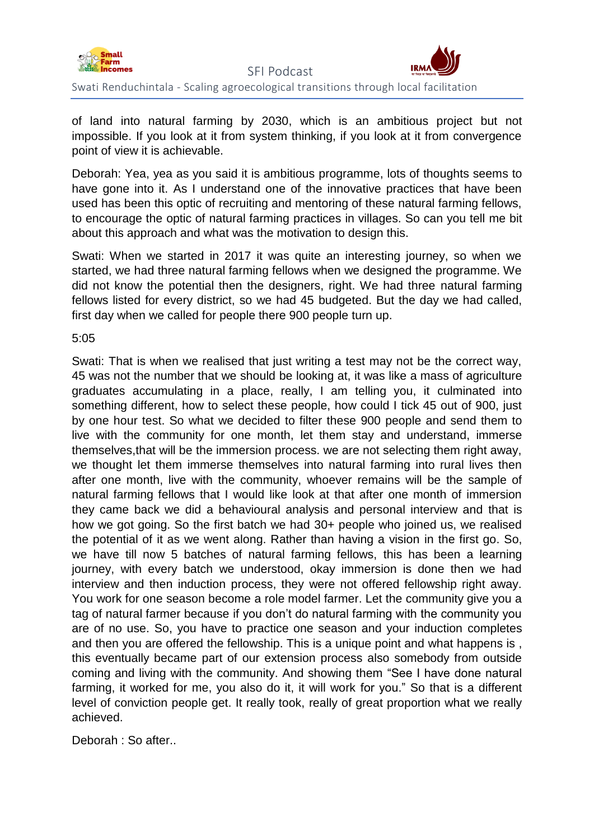

of land into natural farming by 2030, which is an ambitious project but not impossible. If you look at it from system thinking, if you look at it from convergence point of view it is achievable.

Deborah: Yea, yea as you said it is ambitious programme, lots of thoughts seems to have gone into it. As I understand one of the innovative practices that have been used has been this optic of recruiting and mentoring of these natural farming fellows, to encourage the optic of natural farming practices in villages. So can you tell me bit about this approach and what was the motivation to design this.

Swati: When we started in 2017 it was quite an interesting journey, so when we started, we had three natural farming fellows when we designed the programme. We did not know the potential then the designers, right. We had three natural farming fellows listed for every district, so we had 45 budgeted. But the day we had called, first day when we called for people there 900 people turn up.

#### 5:05

Swati: That is when we realised that just writing a test may not be the correct way, 45 was not the number that we should be looking at, it was like a mass of agriculture graduates accumulating in a place, really, I am telling you, it culminated into something different, how to select these people, how could I tick 45 out of 900, just by one hour test. So what we decided to filter these 900 people and send them to live with the community for one month, let them stay and understand, immerse themselves,that will be the immersion process. we are not selecting them right away, we thought let them immerse themselves into natural farming into rural lives then after one month, live with the community, whoever remains will be the sample of natural farming fellows that I would like look at that after one month of immersion they came back we did a behavioural analysis and personal interview and that is how we got going. So the first batch we had 30+ people who joined us, we realised the potential of it as we went along. Rather than having a vision in the first go. So, we have till now 5 batches of natural farming fellows, this has been a learning journey, with every batch we understood, okay immersion is done then we had interview and then induction process, they were not offered fellowship right away. You work for one season become a role model farmer. Let the community give you a tag of natural farmer because if you don't do natural farming with the community you are of no use. So, you have to practice one season and your induction completes and then you are offered the fellowship. This is a unique point and what happens is , this eventually became part of our extension process also somebody from outside coming and living with the community. And showing them "See I have done natural farming, it worked for me, you also do it, it will work for you." So that is a different level of conviction people get. It really took, really of great proportion what we really achieved.

Deborah : So after..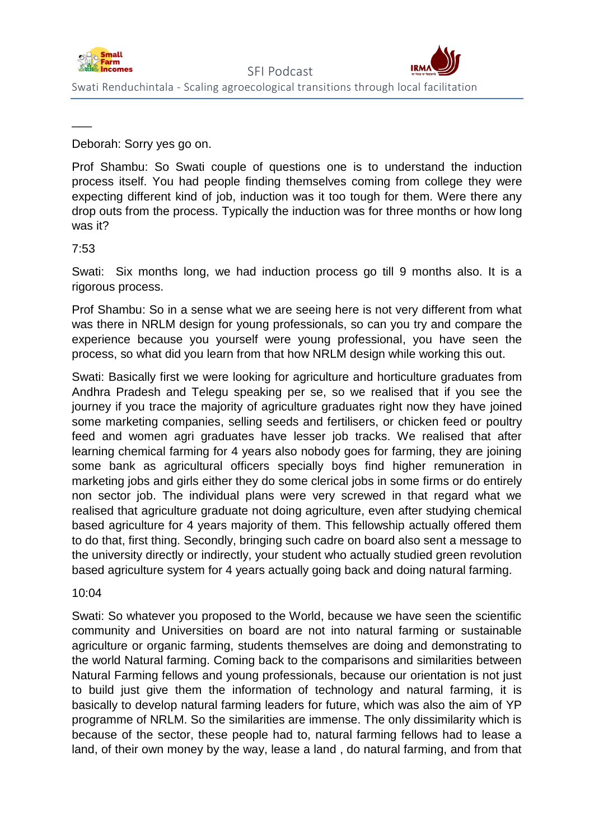

Deborah: Sorry yes go on.

Prof Shambu: So Swati couple of questions one is to understand the induction process itself. You had people finding themselves coming from college they were expecting different kind of job, induction was it too tough for them. Were there any drop outs from the process. Typically the induction was for three months or how long was it?

# 7:53

 $\overline{\phantom{a}}$ 

Swati: Six months long, we had induction process go till 9 months also. It is a rigorous process.

Prof Shambu: So in a sense what we are seeing here is not very different from what was there in NRLM design for young professionals, so can you try and compare the experience because you yourself were young professional, you have seen the process, so what did you learn from that how NRLM design while working this out.

Swati: Basically first we were looking for agriculture and horticulture graduates from Andhra Pradesh and Telegu speaking per se, so we realised that if you see the journey if you trace the majority of agriculture graduates right now they have joined some marketing companies, selling seeds and fertilisers, or chicken feed or poultry feed and women agri graduates have lesser job tracks. We realised that after learning chemical farming for 4 years also nobody goes for farming, they are joining some bank as agricultural officers specially boys find higher remuneration in marketing jobs and girls either they do some clerical jobs in some firms or do entirely non sector job. The individual plans were very screwed in that regard what we realised that agriculture graduate not doing agriculture, even after studying chemical based agriculture for 4 years majority of them. This fellowship actually offered them to do that, first thing. Secondly, bringing such cadre on board also sent a message to the university directly or indirectly, your student who actually studied green revolution based agriculture system for 4 years actually going back and doing natural farming.

10:04

Swati: So whatever you proposed to the World, because we have seen the scientific community and Universities on board are not into natural farming or sustainable agriculture or organic farming, students themselves are doing and demonstrating to the world Natural farming. Coming back to the comparisons and similarities between Natural Farming fellows and young professionals, because our orientation is not just to build just give them the information of technology and natural farming, it is basically to develop natural farming leaders for future, which was also the aim of YP programme of NRLM. So the similarities are immense. The only dissimilarity which is because of the sector, these people had to, natural farming fellows had to lease a land, of their own money by the way, lease a land , do natural farming, and from that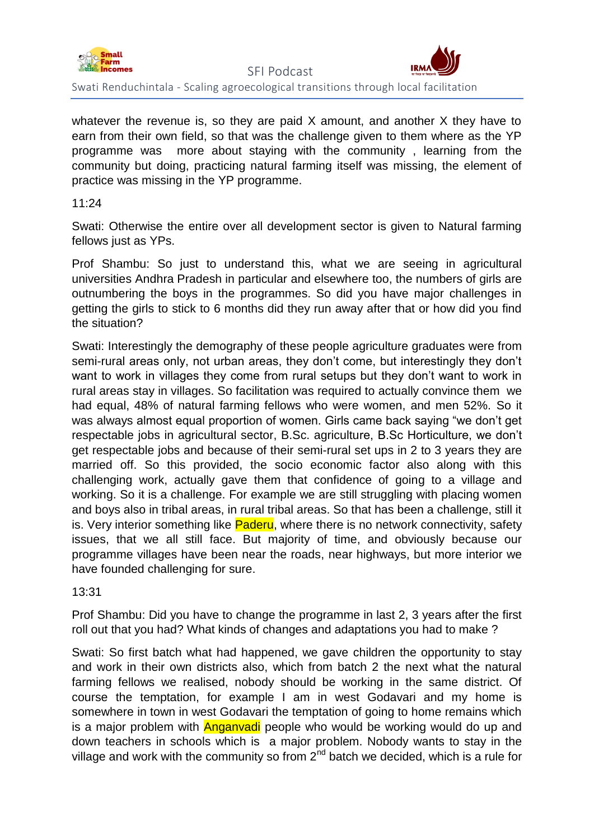

whatever the revenue is, so they are paid X amount, and another X they have to earn from their own field, so that was the challenge given to them where as the YP programme was more about staying with the community , learning from the community but doing, practicing natural farming itself was missing, the element of practice was missing in the YP programme.

11:24

Swati: Otherwise the entire over all development sector is given to Natural farming fellows just as YPs.

Prof Shambu: So just to understand this, what we are seeing in agricultural universities Andhra Pradesh in particular and elsewhere too, the numbers of girls are outnumbering the boys in the programmes. So did you have major challenges in getting the girls to stick to 6 months did they run away after that or how did you find the situation?

Swati: Interestingly the demography of these people agriculture graduates were from semi-rural areas only, not urban areas, they don't come, but interestingly they don't want to work in villages they come from rural setups but they don't want to work in rural areas stay in villages. So facilitation was required to actually convince them we had equal, 48% of natural farming fellows who were women, and men 52%. So it was always almost equal proportion of women. Girls came back saying "we don't get respectable jobs in agricultural sector, B.Sc. agriculture, B.Sc Horticulture, we don't get respectable jobs and because of their semi-rural set ups in 2 to 3 years they are married off. So this provided, the socio economic factor also along with this challenging work, actually gave them that confidence of going to a village and working. So it is a challenge. For example we are still struggling with placing women and boys also in tribal areas, in rural tribal areas. So that has been a challenge, still it is. Very interior something like **Paderu**, where there is no network connectivity, safety issues, that we all still face. But majority of time, and obviously because our programme villages have been near the roads, near highways, but more interior we have founded challenging for sure.

13:31

Prof Shambu: Did you have to change the programme in last 2, 3 years after the first roll out that you had? What kinds of changes and adaptations you had to make ?

Swati: So first batch what had happened, we gave children the opportunity to stay and work in their own districts also, which from batch 2 the next what the natural farming fellows we realised, nobody should be working in the same district. Of course the temptation, for example I am in west Godavari and my home is somewhere in town in west Godavari the temptation of going to home remains which is a major problem with **Anganyadi** people who would be working would do up and down teachers in schools which is a major problem. Nobody wants to stay in the village and work with the community so from  $2^{nd}$  batch we decided, which is a rule for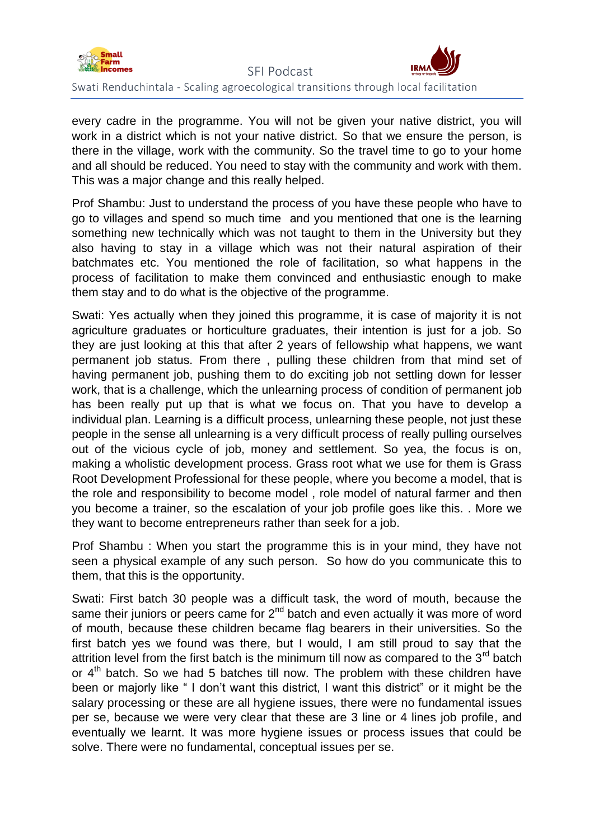

every cadre in the programme. You will not be given your native district, you will work in a district which is not your native district. So that we ensure the person, is there in the village, work with the community. So the travel time to go to your home and all should be reduced. You need to stay with the community and work with them. This was a major change and this really helped.

Prof Shambu: Just to understand the process of you have these people who have to go to villages and spend so much time and you mentioned that one is the learning something new technically which was not taught to them in the University but they also having to stay in a village which was not their natural aspiration of their batchmates etc. You mentioned the role of facilitation, so what happens in the process of facilitation to make them convinced and enthusiastic enough to make them stay and to do what is the objective of the programme.

Swati: Yes actually when they joined this programme, it is case of majority it is not agriculture graduates or horticulture graduates, their intention is just for a job. So they are just looking at this that after 2 years of fellowship what happens, we want permanent job status. From there , pulling these children from that mind set of having permanent job, pushing them to do exciting job not settling down for lesser work, that is a challenge, which the unlearning process of condition of permanent job has been really put up that is what we focus on. That you have to develop a individual plan. Learning is a difficult process, unlearning these people, not just these people in the sense all unlearning is a very difficult process of really pulling ourselves out of the vicious cycle of job, money and settlement. So yea, the focus is on, making a wholistic development process. Grass root what we use for them is Grass Root Development Professional for these people, where you become a model, that is the role and responsibility to become model , role model of natural farmer and then you become a trainer, so the escalation of your job profile goes like this. . More we they want to become entrepreneurs rather than seek for a job.

Prof Shambu : When you start the programme this is in your mind, they have not seen a physical example of any such person. So how do you communicate this to them, that this is the opportunity.

Swati: First batch 30 people was a difficult task, the word of mouth, because the same their juniors or peers came for  $2<sup>nd</sup>$  batch and even actually it was more of word of mouth, because these children became flag bearers in their universities. So the first batch yes we found was there, but I would, I am still proud to say that the attrition level from the first batch is the minimum till now as compared to the  $3<sup>rd</sup>$  batch or  $4<sup>th</sup>$  batch. So we had 5 batches till now. The problem with these children have been or majorly like " I don't want this district, I want this district" or it might be the salary processing or these are all hygiene issues, there were no fundamental issues per se, because we were very clear that these are 3 line or 4 lines job profile, and eventually we learnt. It was more hygiene issues or process issues that could be solve. There were no fundamental, conceptual issues per se.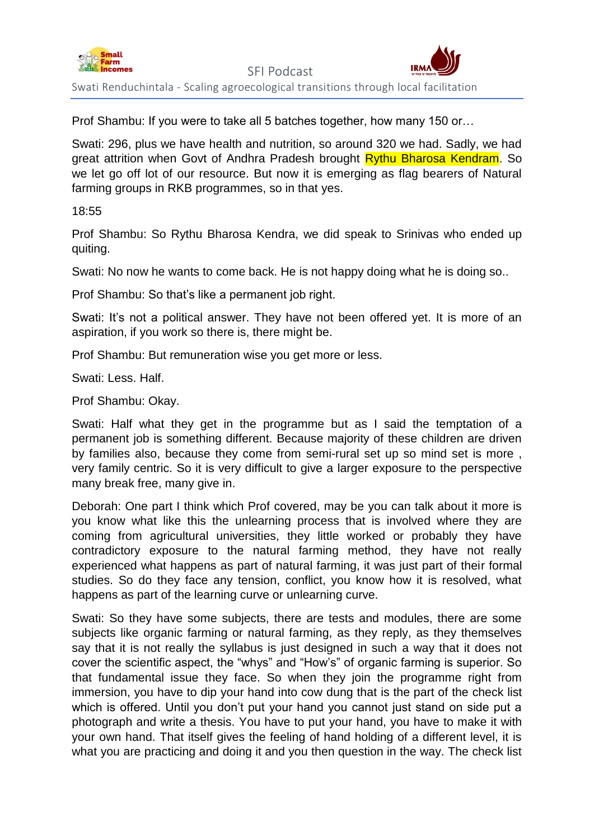

 SFI Podcast Swati Renduchintala - Scaling agroecological transitions through local facilitation

Prof Shambu: If you were to take all 5 batches together, how many 150 or…

Swati: 296, plus we have health and nutrition, so around 320 we had. Sadly, we had great attrition when Govt of Andhra Pradesh brought Rythu Bharosa Kendram. So we let go off lot of our resource. But now it is emerging as flag bearers of Natural farming groups in RKB programmes, so in that yes.

# 18:55

Prof Shambu: So Rythu Bharosa Kendra, we did speak to Srinivas who ended up quiting.

Swati: No now he wants to come back. He is not happy doing what he is doing so..

Prof Shambu: So that's like a permanent job right.

Swati: It's not a political answer. They have not been offered yet. It is more of an aspiration, if you work so there is, there might be.

Prof Shambu: But remuneration wise you get more or less.

Swati: Less. Half.

Prof Shambu: Okay.

Swati: Half what they get in the programme but as I said the temptation of a permanent job is something different. Because majority of these children are driven by families also, because they come from semi-rural set up so mind set is more , very family centric. So it is very difficult to give a larger exposure to the perspective many break free, many give in.

Deborah: One part I think which Prof covered, may be you can talk about it more is you know what like this the unlearning process that is involved where they are coming from agricultural universities, they little worked or probably they have contradictory exposure to the natural farming method, they have not really experienced what happens as part of natural farming, it was just part of their formal studies. So do they face any tension, conflict, you know how it is resolved, what happens as part of the learning curve or unlearning curve.

Swati: So they have some subjects, there are tests and modules, there are some subjects like organic farming or natural farming, as they reply, as they themselves say that it is not really the syllabus is just designed in such a way that it does not cover the scientific aspect, the "whys" and "How's" of organic farming is superior. So that fundamental issue they face. So when they join the programme right from immersion, you have to dip your hand into cow dung that is the part of the check list which is offered. Until you don't put your hand you cannot just stand on side put a photograph and write a thesis. You have to put your hand, you have to make it with your own hand. That itself gives the feeling of hand holding of a different level, it is what you are practicing and doing it and you then question in the way. The check list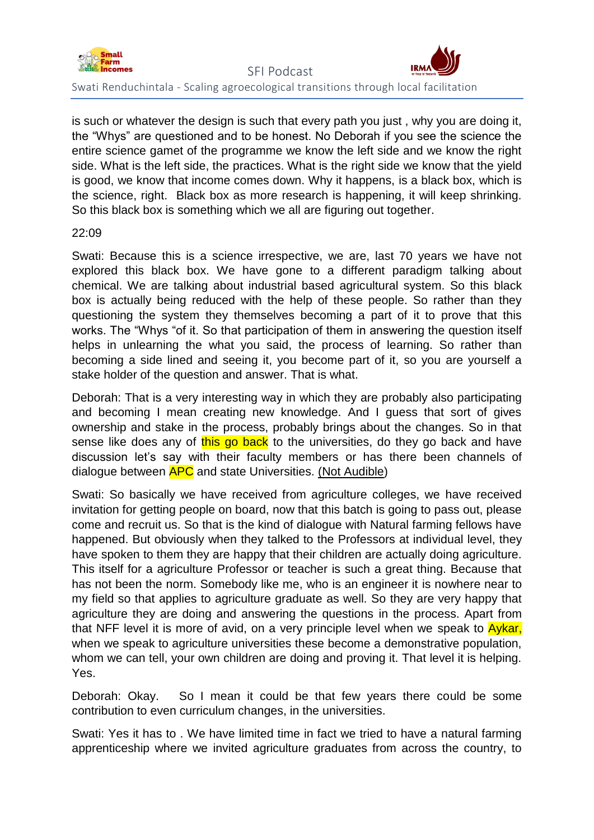

is such or whatever the design is such that every path you just , why you are doing it, the "Whys" are questioned and to be honest. No Deborah if you see the science the entire science gamet of the programme we know the left side and we know the right side. What is the left side, the practices. What is the right side we know that the yield is good, we know that income comes down. Why it happens, is a black box, which is the science, right. Black box as more research is happening, it will keep shrinking. So this black box is something which we all are figuring out together.

# 22:09

Swati: Because this is a science irrespective, we are, last 70 years we have not explored this black box. We have gone to a different paradigm talking about chemical. We are talking about industrial based agricultural system. So this black box is actually being reduced with the help of these people. So rather than they questioning the system they themselves becoming a part of it to prove that this works. The "Whys "of it. So that participation of them in answering the question itself helps in unlearning the what you said, the process of learning. So rather than becoming a side lined and seeing it, you become part of it, so you are yourself a stake holder of the question and answer. That is what.

Deborah: That is a very interesting way in which they are probably also participating and becoming I mean creating new knowledge. And I guess that sort of gives ownership and stake in the process, probably brings about the changes. So in that sense like does any of this go back to the universities, do they go back and have discussion let's say with their faculty members or has there been channels of dialogue between **APC** and state Universities. (Not Audible)

Swati: So basically we have received from agriculture colleges, we have received invitation for getting people on board, now that this batch is going to pass out, please come and recruit us. So that is the kind of dialogue with Natural farming fellows have happened. But obviously when they talked to the Professors at individual level, they have spoken to them they are happy that their children are actually doing agriculture. This itself for a agriculture Professor or teacher is such a great thing. Because that has not been the norm. Somebody like me, who is an engineer it is nowhere near to my field so that applies to agriculture graduate as well. So they are very happy that agriculture they are doing and answering the questions in the process. Apart from that NFF level it is more of avid, on a very principle level when we speak to Aykar, when we speak to agriculture universities these become a demonstrative population, whom we can tell, your own children are doing and proving it. That level it is helping. Yes.

Deborah: Okay. So I mean it could be that few years there could be some contribution to even curriculum changes, in the universities.

Swati: Yes it has to . We have limited time in fact we tried to have a natural farming apprenticeship where we invited agriculture graduates from across the country, to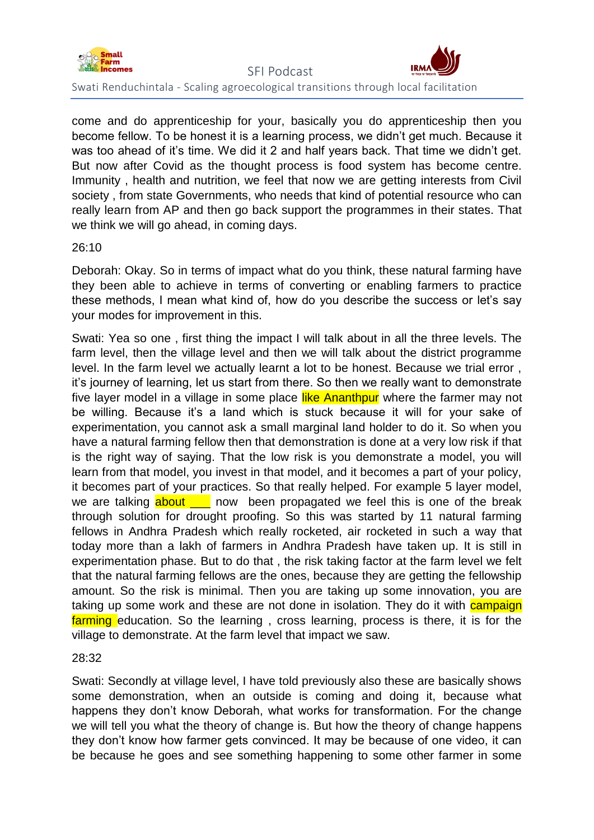

come and do apprenticeship for your, basically you do apprenticeship then you become fellow. To be honest it is a learning process, we didn't get much. Because it was too ahead of it's time. We did it 2 and half years back. That time we didn't get. But now after Covid as the thought process is food system has become centre. Immunity , health and nutrition, we feel that now we are getting interests from Civil society , from state Governments, who needs that kind of potential resource who can really learn from AP and then go back support the programmes in their states. That we think we will go ahead, in coming days.

# 26:10

Deborah: Okay. So in terms of impact what do you think, these natural farming have they been able to achieve in terms of converting or enabling farmers to practice these methods, I mean what kind of, how do you describe the success or let's say your modes for improvement in this.

Swati: Yea so one , first thing the impact I will talk about in all the three levels. The farm level, then the village level and then we will talk about the district programme level. In the farm level we actually learnt a lot to be honest. Because we trial error , it's journey of learning, let us start from there. So then we really want to demonstrate five layer model in a village in some place like Ananthpur where the farmer may not be willing. Because it's a land which is stuck because it will for your sake of experimentation, you cannot ask a small marginal land holder to do it. So when you have a natural farming fellow then that demonstration is done at a very low risk if that is the right way of saying. That the low risk is you demonstrate a model, you will learn from that model, you invest in that model, and it becomes a part of your policy, it becomes part of your practices. So that really helped. For example 5 layer model, we are talking  $\frac{a\text{bout}}{a}$  now been propagated we feel this is one of the break through solution for drought proofing. So this was started by 11 natural farming fellows in Andhra Pradesh which really rocketed, air rocketed in such a way that today more than a lakh of farmers in Andhra Pradesh have taken up. It is still in experimentation phase. But to do that , the risk taking factor at the farm level we felt that the natural farming fellows are the ones, because they are getting the fellowship amount. So the risk is minimal. Then you are taking up some innovation, you are taking up some work and these are not done in isolation. They do it with **campaign** farming education. So the learning , cross learning, process is there, it is for the village to demonstrate. At the farm level that impact we saw.

#### 28:32

Swati: Secondly at village level, I have told previously also these are basically shows some demonstration, when an outside is coming and doing it, because what happens they don't know Deborah, what works for transformation. For the change we will tell you what the theory of change is. But how the theory of change happens they don't know how farmer gets convinced. It may be because of one video, it can be because he goes and see something happening to some other farmer in some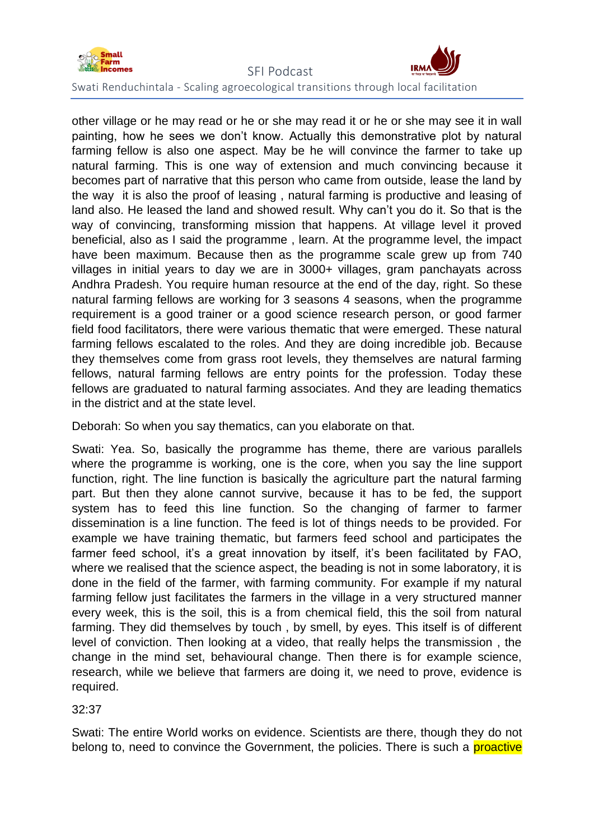

other village or he may read or he or she may read it or he or she may see it in wall painting, how he sees we don't know. Actually this demonstrative plot by natural farming fellow is also one aspect. May be he will convince the farmer to take up natural farming. This is one way of extension and much convincing because it becomes part of narrative that this person who came from outside, lease the land by the way it is also the proof of leasing , natural farming is productive and leasing of land also. He leased the land and showed result. Why can't you do it. So that is the way of convincing, transforming mission that happens. At village level it proved beneficial, also as I said the programme , learn. At the programme level, the impact have been maximum. Because then as the programme scale grew up from 740 villages in initial years to day we are in 3000+ villages, gram panchayats across Andhra Pradesh. You require human resource at the end of the day, right. So these natural farming fellows are working for 3 seasons 4 seasons, when the programme requirement is a good trainer or a good science research person, or good farmer field food facilitators, there were various thematic that were emerged. These natural farming fellows escalated to the roles. And they are doing incredible job. Because they themselves come from grass root levels, they themselves are natural farming fellows, natural farming fellows are entry points for the profession. Today these fellows are graduated to natural farming associates. And they are leading thematics in the district and at the state level.

Deborah: So when you say thematics, can you elaborate on that.

Swati: Yea. So, basically the programme has theme, there are various parallels where the programme is working, one is the core, when you say the line support function, right. The line function is basically the agriculture part the natural farming part. But then they alone cannot survive, because it has to be fed, the support system has to feed this line function. So the changing of farmer to farmer dissemination is a line function. The feed is lot of things needs to be provided. For example we have training thematic, but farmers feed school and participates the farmer feed school, it's a great innovation by itself, it's been facilitated by FAO, where we realised that the science aspect, the beading is not in some laboratory, it is done in the field of the farmer, with farming community. For example if my natural farming fellow just facilitates the farmers in the village in a very structured manner every week, this is the soil, this is a from chemical field, this the soil from natural farming. They did themselves by touch , by smell, by eyes. This itself is of different level of conviction. Then looking at a video, that really helps the transmission , the change in the mind set, behavioural change. Then there is for example science, research, while we believe that farmers are doing it, we need to prove, evidence is required.

32:37

Swati: The entire World works on evidence. Scientists are there, though they do not belong to, need to convince the Government, the policies. There is such a **proactive**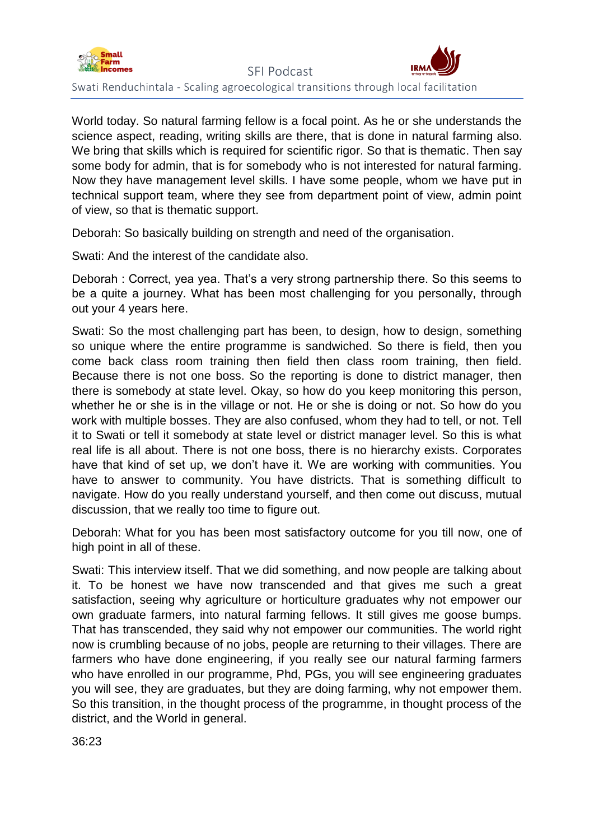

World today. So natural farming fellow is a focal point. As he or she understands the science aspect, reading, writing skills are there, that is done in natural farming also. We bring that skills which is required for scientific rigor. So that is thematic. Then say some body for admin, that is for somebody who is not interested for natural farming. Now they have management level skills. I have some people, whom we have put in technical support team, where they see from department point of view, admin point of view, so that is thematic support.

Deborah: So basically building on strength and need of the organisation.

Swati: And the interest of the candidate also.

Deborah : Correct, yea yea. That's a very strong partnership there. So this seems to be a quite a journey. What has been most challenging for you personally, through out your 4 years here.

Swati: So the most challenging part has been, to design, how to design, something so unique where the entire programme is sandwiched. So there is field, then you come back class room training then field then class room training, then field. Because there is not one boss. So the reporting is done to district manager, then there is somebody at state level. Okay, so how do you keep monitoring this person, whether he or she is in the village or not. He or she is doing or not. So how do you work with multiple bosses. They are also confused, whom they had to tell, or not. Tell it to Swati or tell it somebody at state level or district manager level. So this is what real life is all about. There is not one boss, there is no hierarchy exists. Corporates have that kind of set up, we don't have it. We are working with communities. You have to answer to community. You have districts. That is something difficult to navigate. How do you really understand yourself, and then come out discuss, mutual discussion, that we really too time to figure out.

Deborah: What for you has been most satisfactory outcome for you till now, one of high point in all of these.

Swati: This interview itself. That we did something, and now people are talking about it. To be honest we have now transcended and that gives me such a great satisfaction, seeing why agriculture or horticulture graduates why not empower our own graduate farmers, into natural farming fellows. It still gives me goose bumps. That has transcended, they said why not empower our communities. The world right now is crumbling because of no jobs, people are returning to their villages. There are farmers who have done engineering, if you really see our natural farming farmers who have enrolled in our programme, Phd, PGs, you will see engineering graduates you will see, they are graduates, but they are doing farming, why not empower them. So this transition, in the thought process of the programme, in thought process of the district, and the World in general.

36:23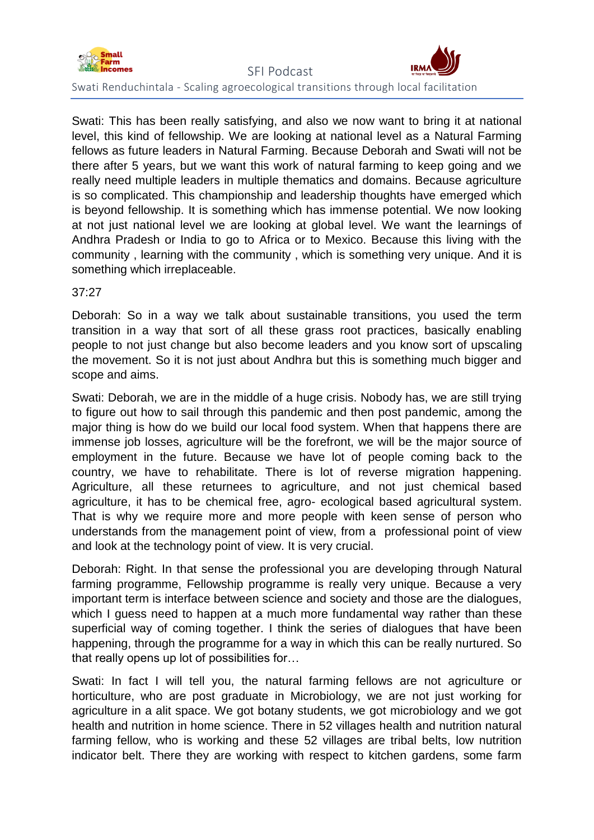

Swati: This has been really satisfying, and also we now want to bring it at national level, this kind of fellowship. We are looking at national level as a Natural Farming fellows as future leaders in Natural Farming. Because Deborah and Swati will not be there after 5 years, but we want this work of natural farming to keep going and we really need multiple leaders in multiple thematics and domains. Because agriculture is so complicated. This championship and leadership thoughts have emerged which is beyond fellowship. It is something which has immense potential. We now looking at not just national level we are looking at global level. We want the learnings of Andhra Pradesh or India to go to Africa or to Mexico. Because this living with the community , learning with the community , which is something very unique. And it is something which irreplaceable.

# 37:27

Deborah: So in a way we talk about sustainable transitions, you used the term transition in a way that sort of all these grass root practices, basically enabling people to not just change but also become leaders and you know sort of upscaling the movement. So it is not just about Andhra but this is something much bigger and scope and aims.

Swati: Deborah, we are in the middle of a huge crisis. Nobody has, we are still trying to figure out how to sail through this pandemic and then post pandemic, among the major thing is how do we build our local food system. When that happens there are immense job losses, agriculture will be the forefront, we will be the major source of employment in the future. Because we have lot of people coming back to the country, we have to rehabilitate. There is lot of reverse migration happening. Agriculture, all these returnees to agriculture, and not just chemical based agriculture, it has to be chemical free, agro- ecological based agricultural system. That is why we require more and more people with keen sense of person who understands from the management point of view, from a professional point of view and look at the technology point of view. It is very crucial.

Deborah: Right. In that sense the professional you are developing through Natural farming programme, Fellowship programme is really very unique. Because a very important term is interface between science and society and those are the dialogues, which I guess need to happen at a much more fundamental way rather than these superficial way of coming together. I think the series of dialogues that have been happening, through the programme for a way in which this can be really nurtured. So that really opens up lot of possibilities for…

Swati: In fact I will tell you, the natural farming fellows are not agriculture or horticulture, who are post graduate in Microbiology, we are not just working for agriculture in a alit space. We got botany students, we got microbiology and we got health and nutrition in home science. There in 52 villages health and nutrition natural farming fellow, who is working and these 52 villages are tribal belts, low nutrition indicator belt. There they are working with respect to kitchen gardens, some farm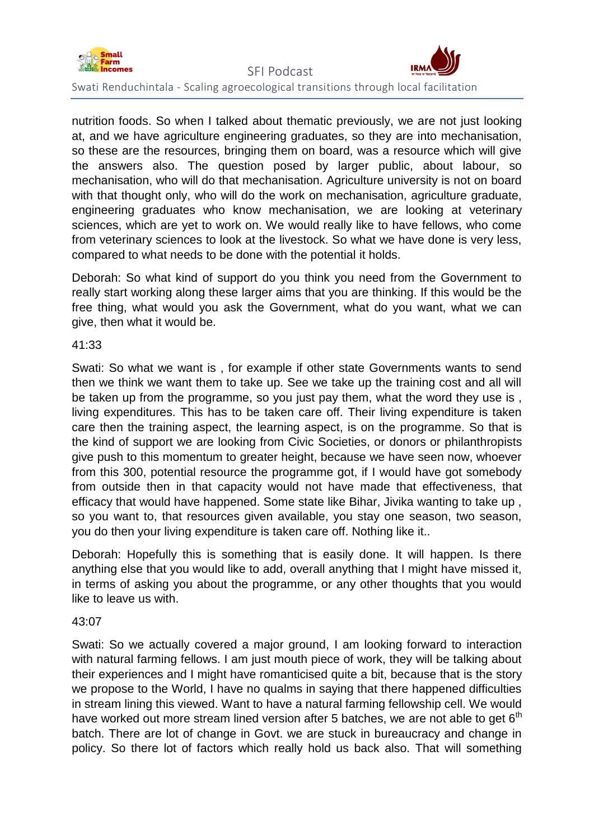

nutrition foods. So when I talked about thematic previously, we are not just looking at, and we have agriculture engineering graduates, so they are into mechanisation, so these are the resources, bringing them on board, was a resource which will give the answers also. The question posed by larger public, about labour, so mechanisation, who will do that mechanisation. Agriculture university is not on board with that thought only, who will do the work on mechanisation, agriculture graduate, engineering graduates who know mechanisation, we are looking at veterinary sciences, which are yet to work on. We would really like to have fellows, who come from veterinary sciences to look at the livestock. So what we have done is very less, compared to what needs to be done with the potential it holds.

Deborah: So what kind of support do you think you need from the Government to really start working along these larger aims that you are thinking. If this would be the free thing, what would you ask the Government, what do you want, what we can give, then what it would be.

#### 41:33

Swati: So what we want is , for example if other state Governments wants to send then we think we want them to take up. See we take up the training cost and all will be taken up from the programme, so you just pay them, what the word they use is , living expenditures. This has to be taken care off. Their living expenditure is taken care then the training aspect, the learning aspect, is on the programme. So that is the kind of support we are looking from Civic Societies, or donors or philanthropists give push to this momentum to greater height, because we have seen now, whoever from this 300, potential resource the programme got, if I would have got somebody from outside then in that capacity would not have made that effectiveness, that efficacy that would have happened. Some state like Bihar, Jivika wanting to take up , so you want to, that resources given available, you stay one season, two season, you do then your living expenditure is taken care off. Nothing like it..

Deborah: Hopefully this is something that is easily done. It will happen. Is there anything else that you would like to add, overall anything that I might have missed it, in terms of asking you about the programme, or any other thoughts that you would like to leave us with.

# 43:07

Swati: So we actually covered a major ground, I am looking forward to interaction with natural farming fellows. I am just mouth piece of work, they will be talking about their experiences and I might have romanticised quite a bit, because that is the story we propose to the World, I have no qualms in saying that there happened difficulties in stream lining this viewed. Want to have a natural farming fellowship cell. We would have worked out more stream lined version after 5 batches, we are not able to get  $6<sup>th</sup>$ batch. There are lot of change in Govt. we are stuck in bureaucracy and change in policy. So there lot of factors which really hold us back also. That will something